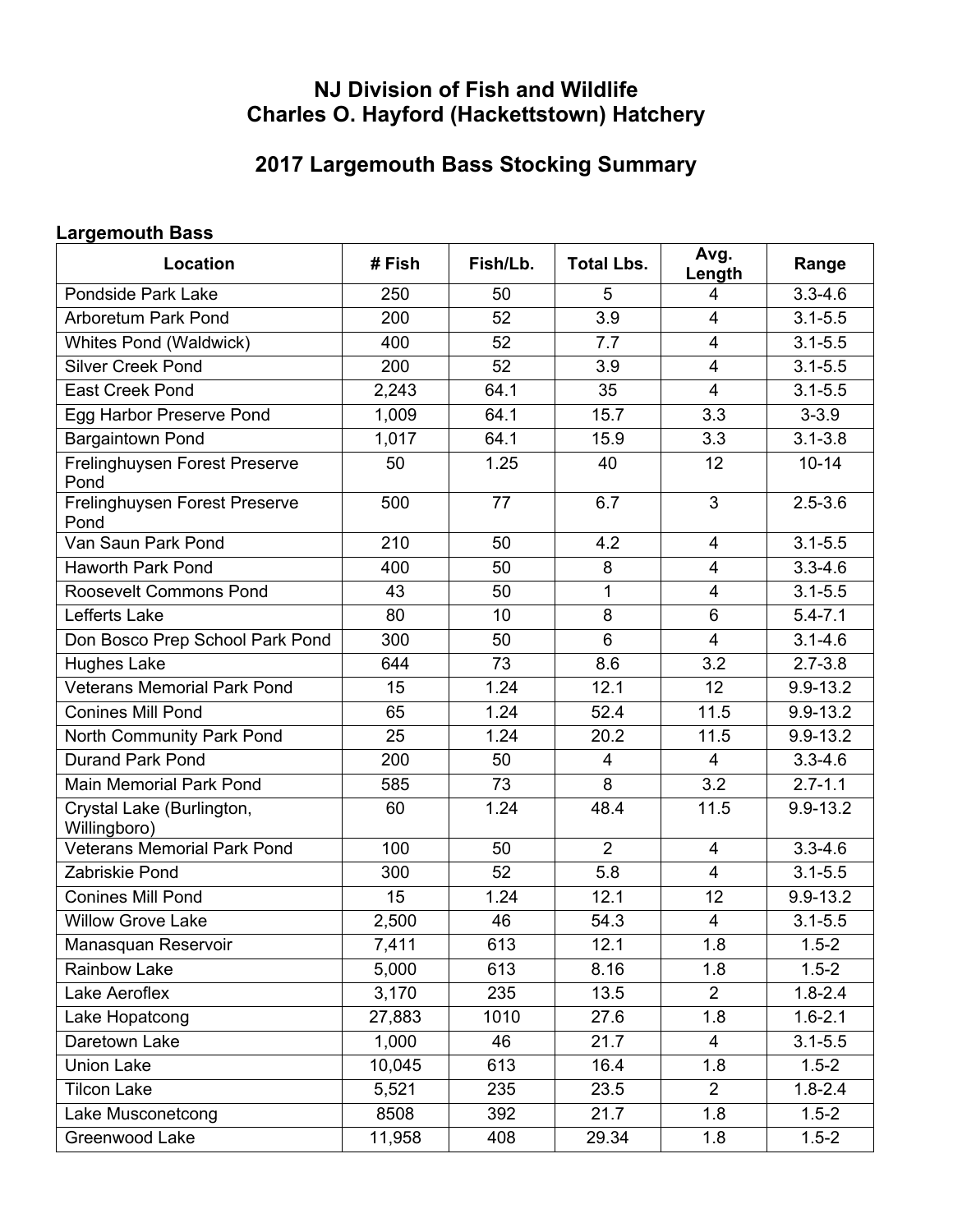## **NJ Division of Fish and Wildlife Charles O. Hayford (Hackettstown) Hatchery**

## **2017 Largemouth Bass Stocking Summary**

## **Largemouth Bass**

| Location                                  | #Fish  | Fish/Lb. | <b>Total Lbs.</b> | Avg.<br>Length | Range        |
|-------------------------------------------|--------|----------|-------------------|----------------|--------------|
| <b>Pondside Park Lake</b>                 | 250    | 50       | 5                 | 4              | $3.3 - 4.6$  |
| <b>Arboretum Park Pond</b>                | 200    | 52       | 3.9               | $\overline{4}$ | $3.1 - 5.5$  |
| Whites Pond (Waldwick)                    | 400    | 52       | 7.7               | $\overline{4}$ | $3.1 - 5.5$  |
| <b>Silver Creek Pond</b>                  | 200    | 52       | 3.9               | $\overline{4}$ | $3.1 - 5.5$  |
| <b>East Creek Pond</b>                    | 2,243  | 64.1     | 35                | $\overline{4}$ | $3.1 - 5.5$  |
| Egg Harbor Preserve Pond                  | 1,009  | 64.1     | 15.7              | 3.3            | $3 - 3.9$    |
| <b>Bargaintown Pond</b>                   | 1,017  | 64.1     | 15.9              | 3.3            | $3.1 - 3.8$  |
| Frelinghuysen Forest Preserve<br>Pond     | 50     | 1.25     | 40                | 12             | $10 - 14$    |
| Frelinghuysen Forest Preserve<br>Pond     | 500    | 77       | 6.7               | 3              | $2.5 - 3.6$  |
| Van Saun Park Pond                        | 210    | 50       | 4.2               | $\overline{4}$ | $3.1 - 5.5$  |
| <b>Haworth Park Pond</b>                  | 400    | 50       | 8                 | $\overline{4}$ | $3.3 - 4.6$  |
| <b>Roosevelt Commons Pond</b>             | 43     | 50       | 1                 | $\overline{4}$ | $3.1 - 5.5$  |
| Lefferts Lake                             | 80     | 10       | 8                 | $6\phantom{1}$ | $5.4 - 7.1$  |
| Don Bosco Prep School Park Pond           | 300    | 50       | 6                 | $\overline{4}$ | $3.1 - 4.6$  |
| <b>Hughes Lake</b>                        | 644    | 73       | 8.6               | 3.2            | $2.7 - 3.8$  |
| <b>Veterans Memorial Park Pond</b>        | 15     | 1.24     | 12.1              | 12             | 9.9-13.2     |
| <b>Conines Mill Pond</b>                  | 65     | 1.24     | 52.4              | 11.5           | 9.9-13.2     |
| North Community Park Pond                 | 25     | 1.24     | 20.2              | 11.5           | $9.9 - 13.2$ |
| <b>Durand Park Pond</b>                   | 200    | 50       | 4                 | $\overline{4}$ | $3.3 - 4.6$  |
| <b>Main Memorial Park Pond</b>            | 585    | 73       | 8                 | 3.2            | $2.7 - 1.1$  |
| Crystal Lake (Burlington,<br>Willingboro) | 60     | 1.24     | 48.4              | 11.5           | $9.9 - 13.2$ |
| <b>Veterans Memorial Park Pond</b>        | 100    | 50       | $\overline{2}$    | $\overline{4}$ | $3.3 - 4.6$  |
| Zabriskie Pond                            | 300    | 52       | 5.8               | 4              | $3.1 - 5.5$  |
| <b>Conines Mill Pond</b>                  | 15     | 1.24     | 12.1              | 12             | 9.9-13.2     |
| <b>Willow Grove Lake</b>                  | 2,500  | 46       | 54.3              | 4              | $3.1 - 5.5$  |
| Manasquan Reservoir                       | 7,411  | 613      | 12.1              | 1.8            | $1.5 - 2$    |
| <b>Rainbow Lake</b>                       | 5,000  | 613      | 8.16              | 1.8            | $1.5 - 2$    |
| Lake Aeroflex                             | 3,170  | 235      | 13.5              | $\overline{2}$ | $1.8 - 2.4$  |
| Lake Hopatcong                            | 27,883 | 1010     | 27.6              | 1.8            | $1.6 - 2.1$  |
| Daretown Lake                             | 1,000  | 46       | 21.7              | $\overline{4}$ | $3.1 - 5.5$  |
| <b>Union Lake</b>                         | 10,045 | 613      | 16.4              | 1.8            | $1.5 - 2$    |
| <b>Tilcon Lake</b>                        | 5,521  | 235      | 23.5              | $\overline{2}$ | $1.8 - 2.4$  |
| Lake Musconetcong                         | 8508   | 392      | 21.7              | 1.8            | $1.5 - 2$    |
| Greenwood Lake                            | 11,958 | 408      | 29.34             | 1.8            | $1.5 - 2$    |